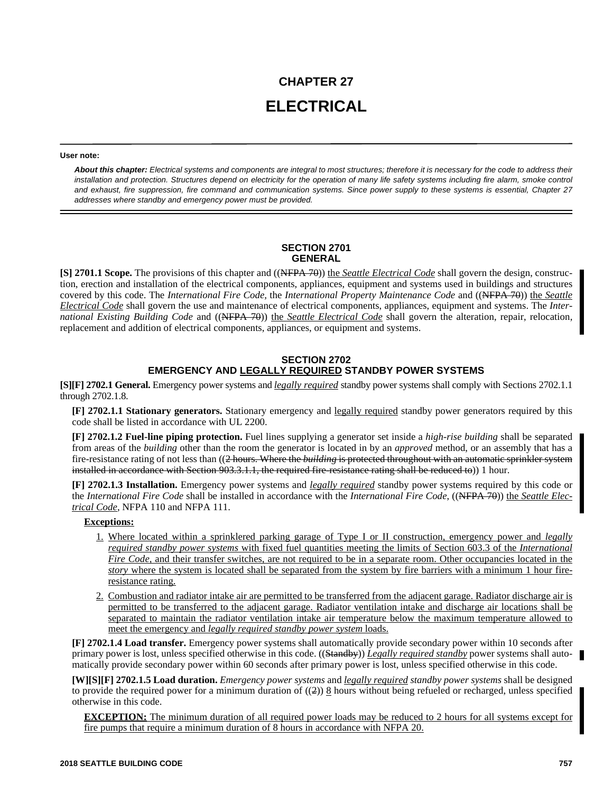# **CHAPTER 27 ELECTRICAL**

#### **User note:**

*About this chapter: Electrical systems and components are integral to most structures; therefore it is necessary for the code to address their installation and protection. Structures depend on electricity for the operation of many life safety systems including fire alarm, smoke control and exhaust, fire suppression, fire command and communication systems. Since power supply to these systems is essential, Chapter 27 addresses where standby and emergency power must be provided.*

# **SECTION 2701 GENERAL**

**[S] 2701.1 Scope.** The provisions of this chapter and ((NFPA 70)) the *Seattle Electrical Code* shall govern the design, construction, erection and installation of the electrical components, appliances, equipment and systems used in buildings and structures covered by this code. The *International Fire Code,* the *International Property Maintenance Code* and ((NFPA 70)) the *Seattle Electrical Code* shall govern the use and maintenance of electrical components, appliances, equipment and systems. The *International Existing Building Code* and ((NFPA 70)) the *Seattle Electrical Code* shall govern the alteration, repair, relocation, replacement and addition of electrical components, appliances, or equipment and systems.

## **SECTION 2702 EMERGENCY AND LEGALLY REQUIRED STANDBY POWER SYSTEMS**

**[S][F] 2702.1 General.** Emergency power systems and *legally required* standby power systems shall comply with Sections 2702.1.1 through 2702.1.8.

**[F] 2702.1.1 Stationary generators.** Stationary emergency and legally required standby power generators required by this code shall be listed in accordance with UL 2200.

**[F] 2702.1.2 Fuel-line piping protection.** Fuel lines supplying a generator set inside a *high-rise building* shall be separated from areas of the *building* other than the room the generator is located in by an *approved* method, or an assembly that has a fire-resistance rating of not less than ((2 hours. Where the *building* is protected throughout with an automatic sprinkler system installed in accordance with Section 903.3.1.1, the required fire-resistance rating shall be reduced to)) 1 hour.

**[F] 2702.1.3 Installation.** Emergency power systems and *legally required* standby power systems required by this code or the *International Fire Code* shall be installed in accordance with the *International Fire Code*, ((NFPA 70)) the *Seattle Electrical Code*, NFPA 110 and NFPA 111.

## **Exceptions:**

- 1. Where located within a sprinklered parking garage of Type I or II construction, emergency power and *legally required standby power systems* with fixed fuel quantities meeting the limits of Section 603.3 of the *International Fire Code,* and their transfer switches, are not required to be in a separate room. Other occupancies located in the *story* where the system is located shall be separated from the system by fire barriers with a minimum 1 hour fireresistance rating.
- 2. Combustion and radiator intake air are permitted to be transferred from the adjacent garage. Radiator discharge air is permitted to be transferred to the adjacent garage. Radiator ventilation intake and discharge air locations shall be separated to maintain the radiator ventilation intake air temperature below the maximum temperature allowed to meet the emergency and *legally required standby power system* loads.

**[F] 2702.1.4 Load transfer.** Emergency power systems shall automatically provide secondary power within 10 seconds after primary power is lost, unless specified otherwise in this code. ((Standby)) *Legally required standby* power systems shall automatically provide secondary power within 60 seconds after primary power is lost, unless specified otherwise in this code.

**[W][S][F] 2702.1.5 Load duration.** *Emergency power systems* and *legally required standby power systems* shall be designed to provide the required power for a minimum duration of  $((2))$  8 hours without being refueled or recharged, unless specified otherwise in this code.

**EXCEPTION:** The minimum duration of all required power loads may be reduced to 2 hours for all systems except for fire pumps that require a minimum duration of 8 hours in accordance with NFPA 20.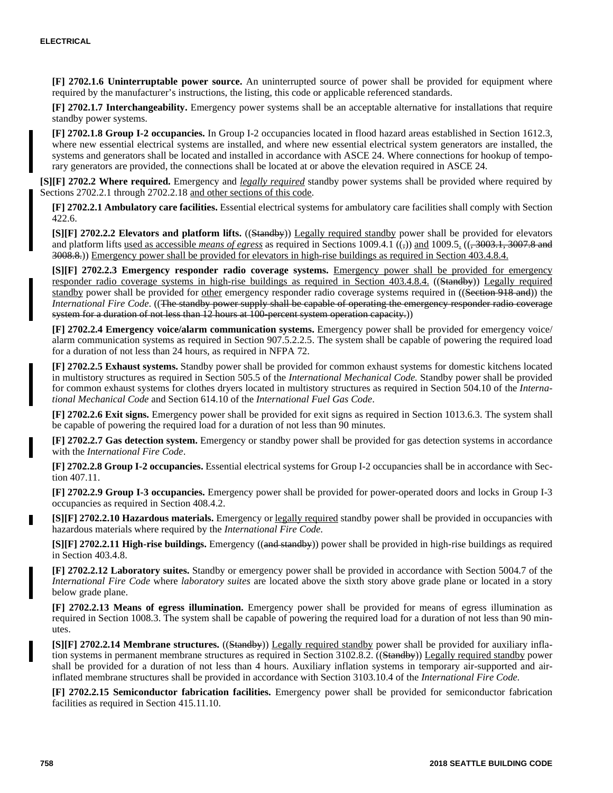**[F] 2702.1.6 Uninterruptable power source.** An uninterrupted source of power shall be provided for equipment where required by the manufacturer's instructions, the listing, this code or applicable referenced standards.

**[F] 2702.1.7 Interchangeability.** Emergency power systems shall be an acceptable alternative for installations that require standby power systems.

**[F] 2702.1.8 Group I-2 occupancies.** In Group I-2 occupancies located in flood hazard areas established in Section 1612.3, where new essential electrical systems are installed, and where new essential electrical system generators are installed, the systems and generators shall be located and installed in accordance with ASCE 24. Where connections for hookup of temporary generators are provided, the connections shall be located at or above the elevation required in ASCE 24.

**[S][F] 2702.2 Where required.** Emergency and *legally required* standby power systems shall be provided where required by Sections 2702.2.1 through 2702.2.18 and other sections of this code.

**[F] 2702.2.1 Ambulatory care facilities.** Essential electrical systems for ambulatory care facilities shall comply with Section 422.6.

**[S][F] 2702.2.2 Elevators and platform lifts.** ((Standby)) Legally required standby power shall be provided for elevators and platform lifts used as accessible *means of egress* as required in Sections 1009.4.1  $(\zeta)$  and 1009.5.  $((\zeta, 3003.1, 3007.8 \text{ and } 3009.5)$ 3008.8.)) Emergency power shall be provided for elevators in high-rise buildings as required in Section 403.4.8.4.

**[S][F] 2702.2.3 Emergency responder radio coverage systems.** Emergency power shall be provided for emergency responder radio coverage systems in high-rise buildings as required in Section 403.4.8.4. ((Standby)) Legally required standby power shall be provided for other emergency responder radio coverage systems required in ((Section 918 and)) the *International Fire Code*. ((The standby power supply shall be capable of operating the emergency responder radio coverage system for a duration of not less than 12 hours at 100-percent system operation capacity.)

**[F] 2702.2.4 Emergency voice/alarm communication systems.** Emergency power shall be provided for emergency voice/ alarm communication systems as required in Section 907.5.2.2.5. The system shall be capable of powering the required load for a duration of not less than 24 hours, as required in NFPA 72.

**[F] 2702.2.5 Exhaust systems.** Standby power shall be provided for common exhaust systems for domestic kitchens located in multistory structures as required in Section 505.5 of the *International Mechanical Code.* Standby power shall be provided for common exhaust systems for clothes dryers located in multistory structures as required in Section 504.10 of the *International Mechanical Code* and Section 614.10 of the *International Fuel Gas Code*.

**[F] 2702.2.6 Exit signs.** Emergency power shall be provided for exit signs as required in Section 1013.6.3. The system shall be capable of powering the required load for a duration of not less than 90 minutes.

**[F] 2702.2.7 Gas detection system.** Emergency or standby power shall be provided for gas detection systems in accordance with the *International Fire Code*.

**[F] 2702.2.8 Group I-2 occupancies.** Essential electrical systems for Group I-2 occupancies shall be in accordance with Section 407.11.

**[F] 2702.2.9 Group I-3 occupancies.** Emergency power shall be provided for power-operated doors and locks in Group I-3 occupancies as required in Section 408.4.2.

**[S][F] 2702.2.10 Hazardous materials.** Emergency or legally required standby power shall be provided in occupancies with hazardous materials where required by the *International Fire Code*.

**[S][F] 2702.2.11 High-rise buildings.** Emergency ((and standby)) power shall be provided in high-rise buildings as required in Section 403.4.8.

**[F] 2702.2.12 Laboratory suites.** Standby or emergency power shall be provided in accordance with Section 5004.7 of the *International Fire Code* where *laboratory suites* are located above the sixth story above grade plane or located in a story below grade plane.

**[F] 2702.2.13 Means of egress illumination.** Emergency power shall be provided for means of egress illumination as required in Section 1008.3. The system shall be capable of powering the required load for a duration of not less than 90 minutes.

**[S][F] 2702.2.14 Membrane structures.** ((Standby)) Legally required standby power shall be provided for auxiliary inflation systems in permanent membrane structures as required in Section 3102.8.2. ((Standby)) Legally required standby power shall be provided for a duration of not less than 4 hours. Auxiliary inflation systems in temporary air-supported and airinflated membrane structures shall be provided in accordance with Section 3103.10.4 of the *International Fire Code.*

**[F] 2702.2.15 Semiconductor fabrication facilities.** Emergency power shall be provided for semiconductor fabrication facilities as required in Section 415.11.10.

г